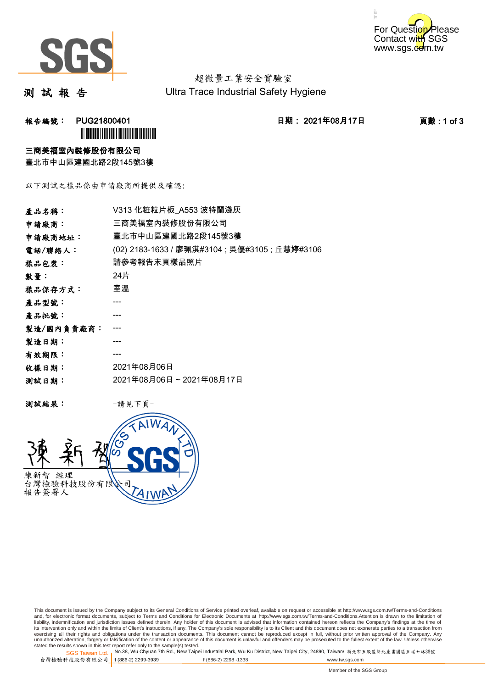



超微量工業安全實驗室 Ultra Trace Industrial Safety Hygiene

測 試 報 告

报告編號: PUG21800401 2021年08月17日 日期: 2021年08月17日 2021年08月17日 2021年08月17日 2021年0月17日 2021年0月17日 2021年0月1 **ÌN BUGATH I DI LI DI LI DI LI DI LI DI LI DI** 

#### 三商美福室內裝修股份有限公司

臺北市中山區建國北路2段145號3樓

以下測試之樣品係由申請廠商所提供及確認:

| 產品名稱:      | V313 化粧粒片板 A553 波特蘭淺灰                          |
|------------|------------------------------------------------|
| 申請廠商:      | 三商美福室內裝修股份有限公司                                 |
| 申請廠商地址:    | 臺北市中山區建國北路2段145號3樓                             |
| 電話/聯絡人:    | (02) 2183-1633 / 廖珮淇#3104 ; 吳優#3105 ; 丘慧婷#3106 |
| 樣品包裝:      | 請參考報告末頁樣品照片                                    |
| 數量:        | 24片                                            |
| 樣品保存方式:    | 室溫                                             |
| 產品型號:      |                                                |
| 產品批號:      |                                                |
| 製造/國內負責廠商: |                                                |
| 製造日期:      |                                                |
| 有效期限:      |                                                |
| 收樣日期:      | 2021年08月06日                                    |
| 测試日期:      | 2021年08月06日~2021年08月17日                        |
|            |                                                |

测試結果: 一請見下頁



This document is issued by the Company subject to its General Conditions of Service printed overleaf, available on request or accessible at http://www.sgs.com.tw/Terms-and-Conditions and, for electronic format documents, subject to Terms and Conditions for Electronic Documents at <u>http://www.sgs.com.tw/Terms-and-Conditions</u>.Attention is drawn to the limitation of<br>liability, indemnification and jurisdic exercising all their rights and obligations under the transaction documents. This document cannot be reproduced except in full, without prior written approval of the Company. Any<br>unauthorized alteration, forgery or falsifi

SGS Taiwan Ltd. 1 stated the results shown in this test report refer only to the sample(s) tested.<br>Stated the results shown in this test report refer only to the sample(s) tested.

台灣檢驗科技股份有限公司

```
t (886-2) 2299-3939 f (886-2) 2298 -1338 www.tw.sgs.com
```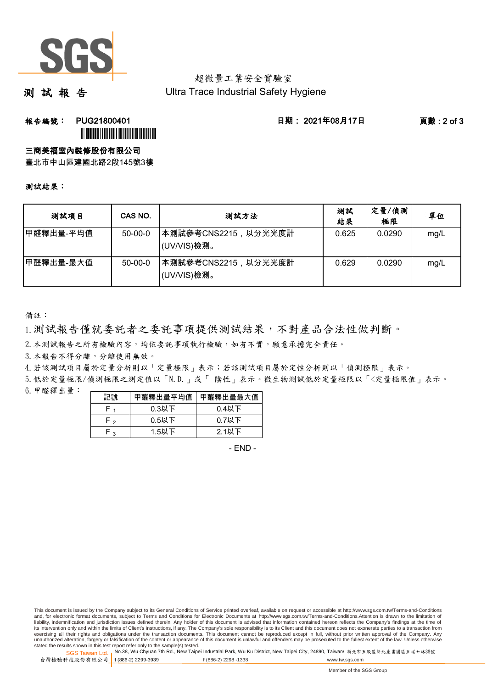

### 超微量工業安全實驗室 Ultra Trace Industrial Safety Hygiene

測 試 報 告

## **報告編號: PUG21800401 日期: 2021年08月17日 頁數:2 of 3** ÌPUG21800401!Î

三商美福室內裝修股份有限公司

臺北市中山區建國北路2段145號3樓

#### 測試結果:

| 测試項目      | CAS NO.   | 测試方法                                | 測試<br>結果 | 定量/偵測<br>極限 | 單位   |
|-----------|-----------|-------------------------------------|----------|-------------|------|
| 甲醛釋出量-平均值 | $50-00-0$ | 本測試參考CNS2215,以分光光度計 <br>(UV/VIS)檢測。 | 0.625    | 0.0290      | mg/L |
| 甲醛釋出量-最大值 | $50-00-0$ | 本測試參考CNS2215,以分光光度計<br>(UV/VIS)檢測。  | 0.629    | 0.0290      | mg/L |

備註:

1.測試報告僅就委託者之委託事項提供測試結果,不對產品合法性做判斷。

2.本測試報告之所有檢驗內容,均依委託事項執行檢驗,如有不實,願意承擔完全責任。

3. 本報告不得分離,分離使用無效。

4.若該測試項目屬於定量分析則以「定量極限」表示;若該測試項目屬於定性分析則以「偵測極限」表示。

6.甲醛釋出量: 5.低於定量極限/偵測極限之測定值以「N.D.」或「 陰性」表示。微生物測試低於定量極限以「<定量極限值」表示。

| 記號         | 甲醛釋出量平均值 | 甲醛釋出量最大值 |
|------------|----------|----------|
|            | $0.3$ 以下 | 0.4以下    |
| <b>۲</b> ۰ | $0.5$ 以下 | $0.7$ 以下 |
| ່າ         | $1.5$ 以下 | $2.1$ 以下 |

- END -

This document is issued by the Company subject to its General Conditions of Service printed overleaf, available on request or accessible at http://www.sgs.com.tw/Terms-and-Conditions and, for electronic format documents, subject to Terms and Conditions for Electronic Documents at http://www.sgs.com.tw/Terms-and-Conditions.Attention is drawn to the limitation of liability, indemnification and jurisdiction issues defined therein. Any holder of this document is advised that information contained hereon reflects the Company's findings at the time of<br>its intervention only and within t exercising all their rights and obligations under the transaction documents. This document cannot be reproduced except in full, without prior written approval of the Company. Any<br>unauthorized alteration, forgery or falsifi

SGS Taiwan Ltd. 1 stated the results shown in this test report refer only to the sample(s) tested.<br>Stated the results shown in this test report refer only to the sample(s) tested.

台灣檢驗科技股份有限公司

**t** (886-2) 2299-3939 **f** (886-2) 2298 -1338 www.tw.sgs.com